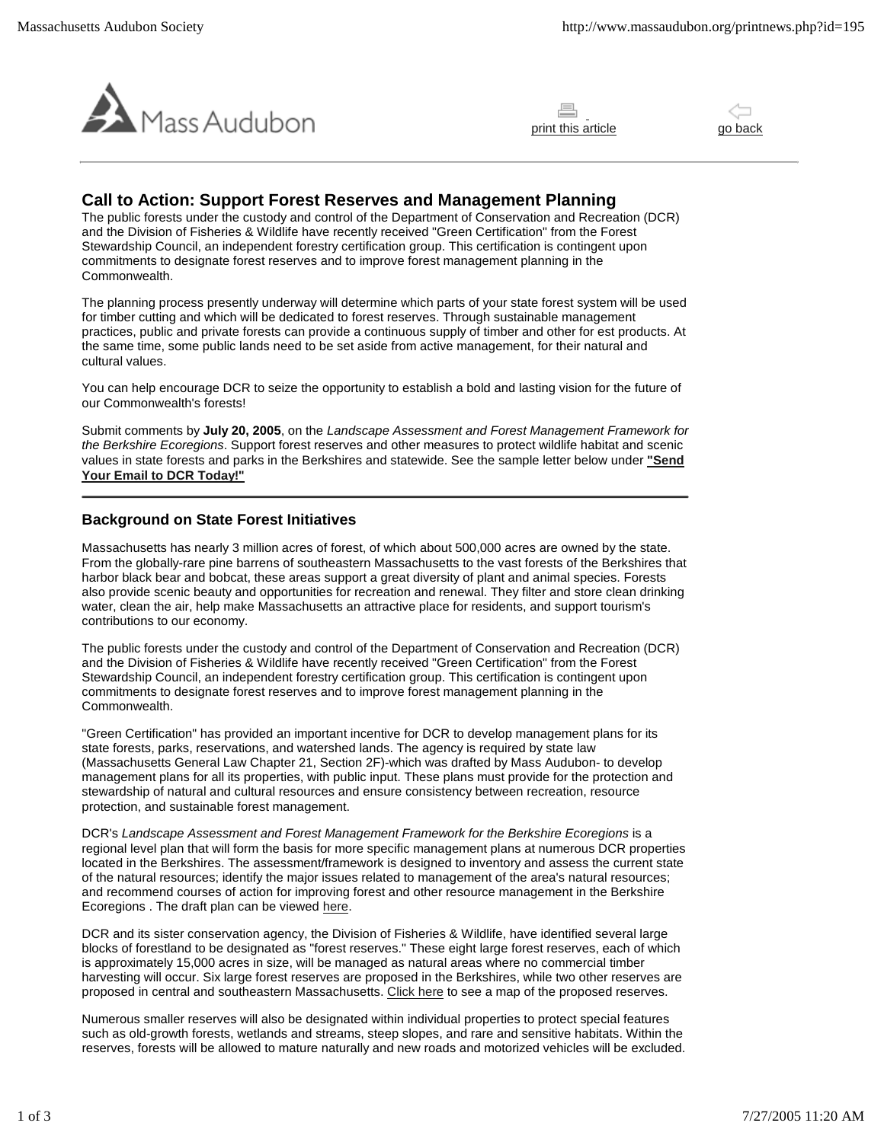





# **Call to Action: Support Forest Reserves and Management Planning**

The public forests under the custody and control of the Department of Conservation and Recreation (DCR) and the Division of Fisheries & Wildlife have recently received "Green Certification" from the Forest Stewardship Council, an independent forestry certification group. This certification is contingent upon commitments to designate forest reserves and to improve forest management planning in the Commonwealth.

The planning process presently underway will determine which parts of your state forest system will be used for timber cutting and which will be dedicated to forest reserves. Through sustainable management practices, public and private forests can provide a continuous supply of timber and other for est products. At the same time, some public lands need to be set aside from active management, for their natural and cultural values.

You can help encourage DCR to seize the opportunity to establish a bold and lasting vision for the future of our Commonwealth's forests!

Submit comments by **July 20, 2005**, on the *Landscape Assessment and Forest Management Framework for the Berkshire Ecoregions*. Support forest reserves and other measures to protect wildlife habitat and scenic values in state forests and parks in the Berkshires and statewide. See the sample letter below under **"Send Your Email to DCR Today!"**

## **Background on State Forest Initiatives**

Massachusetts has nearly 3 million acres of forest, of which about 500,000 acres are owned by the state. From the globally-rare pine barrens of southeastern Massachusetts to the vast forests of the Berkshires that harbor black bear and bobcat, these areas support a great diversity of plant and animal species. Forests also provide scenic beauty and opportunities for recreation and renewal. They filter and store clean drinking water, clean the air, help make Massachusetts an attractive place for residents, and support tourism's contributions to our economy.

The public forests under the custody and control of the Department of Conservation and Recreation (DCR) and the Division of Fisheries & Wildlife have recently received "Green Certification" from the Forest Stewardship Council, an independent forestry certification group. This certification is contingent upon commitments to designate forest reserves and to improve forest management planning in the Commonwealth.

"Green Certification" has provided an important incentive for DCR to develop management plans for its state forests, parks, reservations, and watershed lands. The agency is required by state law (Massachusetts General Law Chapter 21, Section 2F)-which was drafted by Mass Audubon- to develop management plans for all its properties, with public input. These plans must provide for the protection and stewardship of natural and cultural resources and ensure consistency between recreation, resource protection, and sustainable forest management.

DCR's Landscape Assessment and Forest Management Framework for the Berkshire Ecoregions is a regional level plan that will form the basis for more specific management plans at numerous DCR properties located in the Berkshires. The assessment/framework is designed to inventory and assess the current state of the natural resources; identify the major issues related to management of the area's natural resources; and recommend courses of action for improving forest and other resource management in the Berkshire Ecoregions . The draft plan can be viewed here.

DCR and its sister conservation agency, the Division of Fisheries & Wildlife, have identified several large blocks of forestland to be designated as "forest reserves." These eight large forest reserves, each of which is approximately 15,000 acres in size, will be managed as natural areas where no commercial timber harvesting will occur. Six large forest reserves are proposed in the Berkshires, while two other reserves are proposed in central and southeastern Massachusetts. Click here to see a map of the proposed reserves.

Numerous smaller reserves will also be designated within individual properties to protect special features such as old-growth forests, wetlands and streams, steep slopes, and rare and sensitive habitats. Within the reserves, forests will be allowed to mature naturally and new roads and motorized vehicles will be excluded.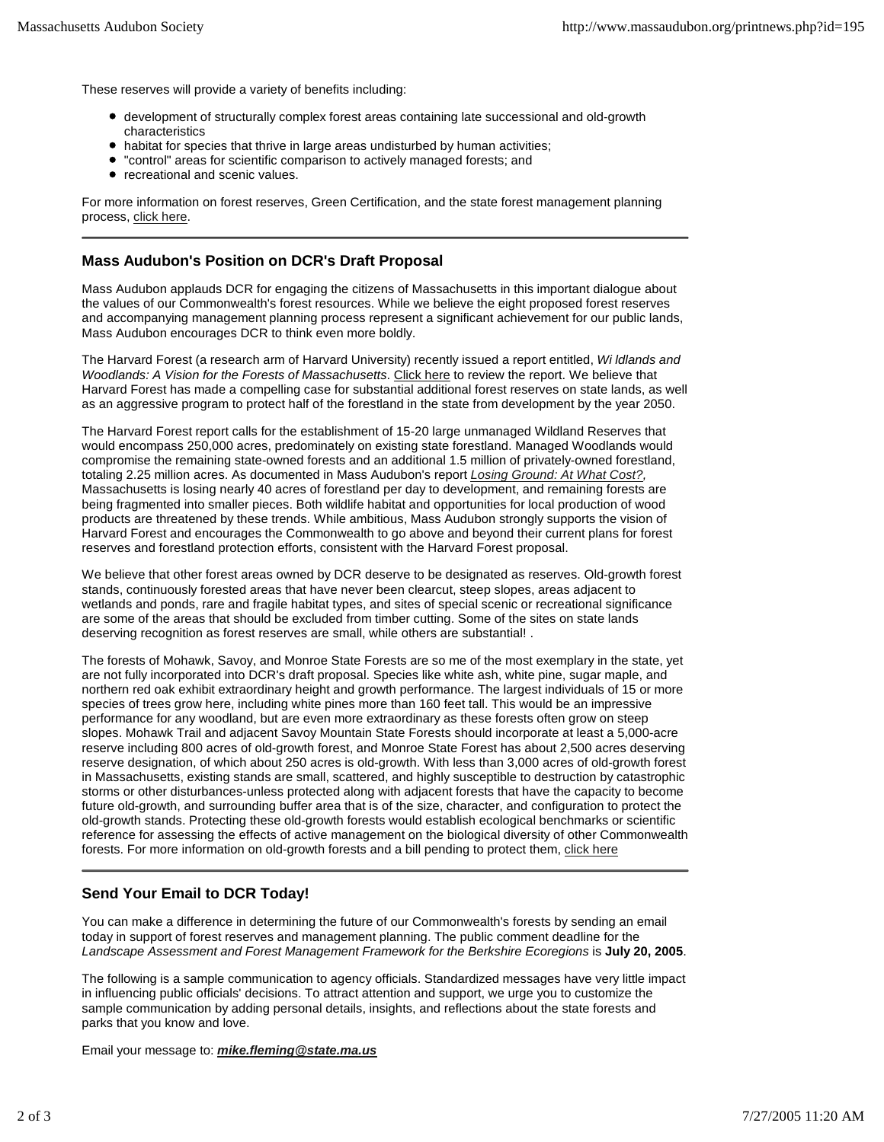These reserves will provide a variety of benefits including:

- development of structurally complex forest areas containing late successional and old-growth characteristics
- habitat for species that thrive in large areas undisturbed by human activities;
- "control" areas for scientific comparison to actively managed forests; and
- recreational and scenic values.

For more information on forest reserves, Green Certification, and the state forest management planning process, click here.

## **Mass Audubon's Position on DCR's Draft Proposal**

Mass Audubon applauds DCR for engaging the citizens of Massachusetts in this important dialogue about the values of our Commonwealth's forest resources. While we believe the eight proposed forest reserves and accompanying management planning process represent a significant achievement for our public lands, Mass Audubon encourages DCR to think even more boldly.

The Harvard Forest (a research arm of Harvard University) recently issued a report entitled, *Wi ldlands and Woodlands: A Vision for the Forests of Massachusetts*. Click here to review the report. We believe that Harvard Forest has made a compelling case for substantial additional forest reserves on state lands, as well as an aggressive program to protect half of the forestland in the state from development by the year 2050.

The Harvard Forest report calls for the establishment of 15-20 large unmanaged Wildland Reserves that would encompass 250,000 acres, predominately on existing state forestland. Managed Woodlands would compromise the remaining state-owned forests and an additional 1.5 million of privately-owned forestland, totaling 2.25 million acres. As documented in Mass Audubon's report *Losing Ground: At What Cost?,*  Massachusetts is losing nearly 40 acres of forestland per day to development, and remaining forests are being fragmented into smaller pieces. Both wildlife habitat and opportunities for local production of wood products are threatened by these trends. While ambitious, Mass Audubon strongly supports the vision of Harvard Forest and encourages the Commonwealth to go above and beyond their current plans for forest reserves and forestland protection efforts, consistent with the Harvard Forest proposal.

We believe that other forest areas owned by DCR deserve to be designated as reserves. Old-growth forest stands, continuously forested areas that have never been clearcut, steep slopes, areas adjacent to wetlands and ponds, rare and fragile habitat types, and sites of special scenic or recreational significance are some of the areas that should be excluded from timber cutting. Some of the sites on state lands deserving recognition as forest reserves are small, while others are substantial! .

The forests of Mohawk, Savoy, and Monroe State Forests are so me of the most exemplary in the state, yet are not fully incorporated into DCR's draft proposal. Species like white ash, white pine, sugar maple, and northern red oak exhibit extraordinary height and growth performance. The largest individuals of 15 or more species of trees grow here, including white pines more than 160 feet tall. This would be an impressive performance for any woodland, but are even more extraordinary as these forests often grow on steep slopes. Mohawk Trail and adjacent Savoy Mountain State Forests should incorporate at least a 5,000-acre reserve including 800 acres of old-growth forest, and Monroe State Forest has about 2,500 acres deserving reserve designation, of which about 250 acres is old-growth. With less than 3,000 acres of old-growth forest in Massachusetts, existing stands are small, scattered, and highly susceptible to destruction by catastrophic storms or other disturbances-unless protected along with adjacent forests that have the capacity to become future old-growth, and surrounding buffer area that is of the size, character, and configuration to protect the old-growth stands. Protecting these old-growth forests would establish ecological benchmarks or scientific reference for assessing the effects of active management on the biological diversity of other Commonwealth forests. For more information on old-growth forests and a bill pending to protect them, click here

### **Send Your Email to DCR Today!**

You can make a difference in determining the future of our Commonwealth's forests by sending an email today in support of forest reserves and management planning. The public comment deadline for the *Landscape Assessment and Forest Management Framework for the Berkshire Ecoregions* is **July 20, 2005**.

The following is a sample communication to agency officials. Standardized messages have very little impact in influencing public officials' decisions. To attract attention and support, we urge you to customize the sample communication by adding personal details, insights, and reflections about the state forests and parks that you know and love.

Email your message to: *mike.fleming@state.ma.us*